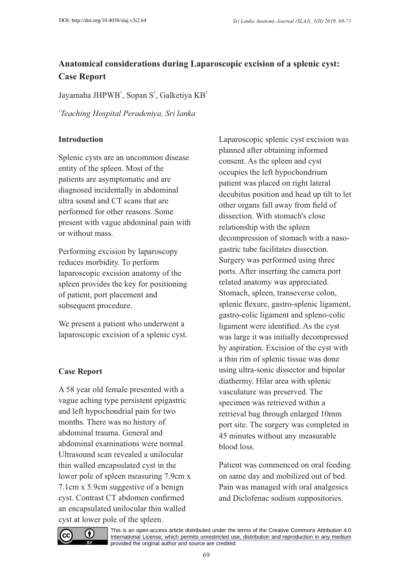# **Anatomical considerations during Laparoscopic excision of a splenic cyst: Case Report**

Jayamaha JHPWB<sup>1</sup>, Sopan S<sup>1</sup>, Galketiya KB<sup>1</sup>

*1 Teaching Hospital Peradeniya, Sri lanka*

#### **Introduction**

Splenic cysts are an uncommon disease entity of the spleen. Most of the patients are asymptomatic and are diagnosed incidentally in abdominal ultra sound and CT scans that are performed for other reasons. Some present with vague abdominal pain with or without mass.

Performing excision by laparoscopy reduces morbidity. To perform laparoscopic excision anatomy of the spleen provides the key for positioning of patient, port placement and subsequent procedure.

We present a patient who underwent a laparoscopic excision of a splenic cyst.

#### **Case Report**

A 58 year old female presented with a vague aching type persistent epigastric and left hypochondrial pain for two months. There was no history of abdominal trauma. General and abdominal examinations were normal. Ultrasound scan revealed a unilocular thin walled encapsulated cyst in the lower pole of spleen measuring 7.9cm x 7.1cm x 5.9cm suggestive of a benign cyst. Contrast CT abdomen confirmed an encapsulated unilocular thin walled cyst at lower pole of the spleen.

Laparoscopic splenic cyst excision was planned after obtaining informed consent. As the spleen and cyst occupies the left hypochondrium patient was placed on right lateral decubitus position and head up tilt to let other organs fall away from field of dissection. With stomach's close relationship with the spleen decompression of stomach with a nasogastric tube facilitates dissection. Surgery was performed using three ports. After inserting the camera port related anatomy was appreciated. Stomach, spleen, transeverse colon, splenic flexure, gastro-splenic ligament, gastro-colic ligament and spleno-colic ligament were identified. As the cyst was large it was initially decompressed by aspiration. Excision of the cyst with a thin rim of splenic tissue was done using ultra-sonic dissector and bipolar diathermy. Hilar area with splenic vasculature was preserved. The specimen was retrieved within a retrieval bag through enlarged 10mm port site. The surgery was completed in 45 minutes without any measurable blood loss.

Patient was commenced on oral feeding on same day and mobilized out of bed. Pain was managed with oral analgesics and Diclofenac sodium suppositories.



[This is an open-access article distributed under the terms of the Creative Commons Attribution 4.0](https://creativecommons.org/licenses/by/4.0/) International License, which permits unrestricted use, distribution and reproduction in any medium provided the original author and source are credited.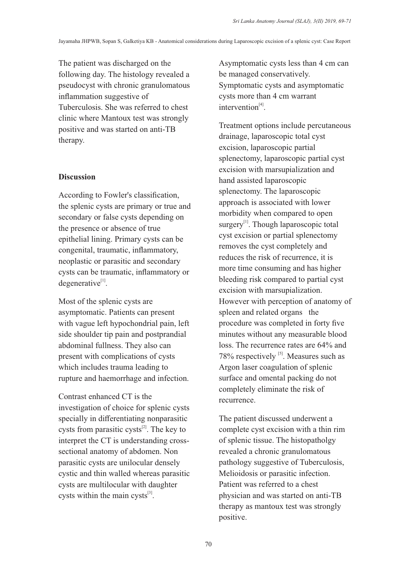The patient was discharged on the following day. The histology revealed a pseudocyst with chronic granulomatous inflammation suggestive of Tuberculosis. She was referred to chest clinic where Mantoux test was strongly positive and was started on anti-TB therapy.

#### **Discussion**

According to Fowler's classification, the splenic cysts are primary or true and secondary or false cysts depending on the presence or absence of true epithelial lining. Primary cysts can be congenital, traumatic, inflammatory, neoplastic or parasitic and secondary cysts can be traumatic, inflammatory or  $degenerate$ <sup>[1]</sup>.

Most of the splenic cysts are asymptomatic. Patients can present with vague left hypochondrial pain, left side shoulder tip pain and postprandial abdominal fullness. They also can present with complications of cysts which includes trauma leading to rupture and haemorrhage and infection.

Contrast enhanced CT is the investigation of choice for splenic cysts specially in differentiating nonparasitic cysts from parasitic cysts $^{[2]}$ . The key to interpret the CT is understanding crosssectional anatomy of abdomen. Non parasitic cysts are unilocular densely cystic and thin walled whereas parasitic cysts are multilocular with daughter cysts within the main cysts $^{[3]}$ .

Asymptomatic cysts less than 4 cm can be managed conservatively. Symptomatic cysts and asymptomatic cysts more than 4 cm warrant  $intervention^{[4]}$ .

Treatment options include percutaneous drainage, laparoscopic total cyst excision, laparoscopic partial splenectomy, laparoscopic partial cyst excision with marsupialization and hand assisted laparoscopic splenectomy. The laparoscopic approach is associated with lower morbidity when compared to open surgery<sup>[1]</sup>. Though laparoscopic total cyst excision or partial splenectomy removes the cyst completely and reduces the risk of recurrence, it is more time consuming and has higher bleeding risk compared to partial cyst excision with marsupialization. However with perception of anatomy of spleen and related organs the procedure was completed in forty five minutes without any measurable blood loss. The recurrence rates are 64% and  $78\%$  respectively  $\left[5\right]$ . Measures such as Argon laser coagulation of splenic surface and omental packing do not completely eliminate the risk of recurrence.

The patient discussed underwent a complete cyst excision with a thin rim of splenic tissue. The histopatholgy revealed a chronic granulomatous pathology suggestive of Tuberculosis, Melioidosis or parasitic infection. Patient was referred to a chest physician and was started on anti-TB therapy as mantoux test was strongly positive.